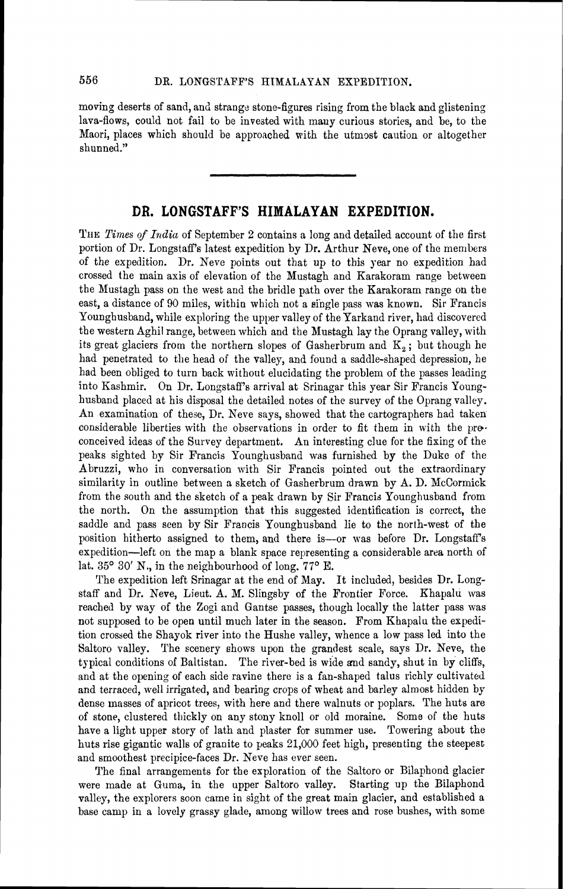moving deserts of sand, and strange stone-figures rising from the black and glistening lava-flows, could not fail to be invested with many curious stories, and be, to the Maori, places which should be approached with the utmsst caution or altogether shunned."

## **DR. LONGSTAFF'S HIMALAYAN EXPEDITION.**

THE *Times of India* of September 2 contains a long and detailed account of the first portion of Dr. Longstaff's latest expedition by Dr. Arthur Neve, one of the members of the expedition. Dr. Neve points out that up to this year no expedition had crossed the main axis of elevation of thc Mustagh and Karakoram range between the Mustagh pass on the west and the bridle path over the Karakoram range on the east, a distance of 90 miles, within which not a eingle pass was known. Sir Francis Younghusband, while exploring the upper valley of the Yarkand river, had discovered the western Aghil range, between which and the Mustagh lay the Oprang valley, with its great glaciers from the northern slopes of Gasherbrum and  $K<sub>2</sub>$ ; but though he had penetrated to the head of the valley, and found a saddle-shaped depression, he had been obliged to turn back without elucidating the problem of the passes leading into Kashmir. On Dr. Longstaff's arrival at Srinagar this year Sir Francis Younghusband placed at his disposal the detailed notes of the survey of the Oprang valley. An examination of these, Dr. Neve says, showed that the cartographers had taken considerable liberties with the observations in order to fit them in with the proconceived ideas of the Survey department. An interesting clue for the fixing of the peaks sighted by Sir Francis Younghusband was furnished by the Duke of thc Abruzzi, who in conversation with Sir Francis pointed out the extraordinary similarity in outline between a sketch of Gasherbrum drawn by  $A$ . D. McCormick from the south and the sketch of a peak drawn by Sir Francis Younghusband from the north. On the assumption that this suggested identification is correct, the saddle and pass seen by Sir Francis Younghusband lie to the north-west of the position hitherto assigned to them, and there is-or was before Dr. Longstaff's expedition-left on the map a blank space representing a considerable area north of lat. 35° 30' N., in the neighbourhood of long, 77° E.

The expedition left Srinagar at the end of May. It included, besides Dr. Longstaff and Dr. Neve, Lieut. A. M. Slingsby of the Frontier Force. Ehapalu was reached by way of the Zogi and Gantse passes, though locally the latter pass mas not supposed to be open until much later in the season. From Khapalu the expedition crossed the Shayok river into the Hushe valley, whence a low pass led into the Saltoro valley. The scenery shows upon the grandest scale, says Dr. Neve, the typical conditions of Baltistan. The river-bed is wide and sandy, shut in by cliffs, and at the opening of each side ravine there is a fan-shaped talus richly cultivatod and terraced, well irrigated, and bearing crops of wheat and barley almost hidden by densc masses of apricot trees, with here and there walnuts or poplars. The huts are of stone, clustered thickly on any stony knoll or old moraine. Some of the huts have a light upper story of lath and plaster for summer use. Towering about the huts rise gigantic walls of granite to peaks 21,000 feet high, presenting the steepest and smoothest precipice-faces Dr. Neve has ever seen.

The final arrangements for the exploration of the Saltoro or Bilaphond glacier were made at Guma, in the upper Sdltoro valley. Starting up the Bilaphond valley, the explorers soon came in sight of the great main glacier, and established a base camp in a lovely grassy glade, among willow trees and rose bushes, with some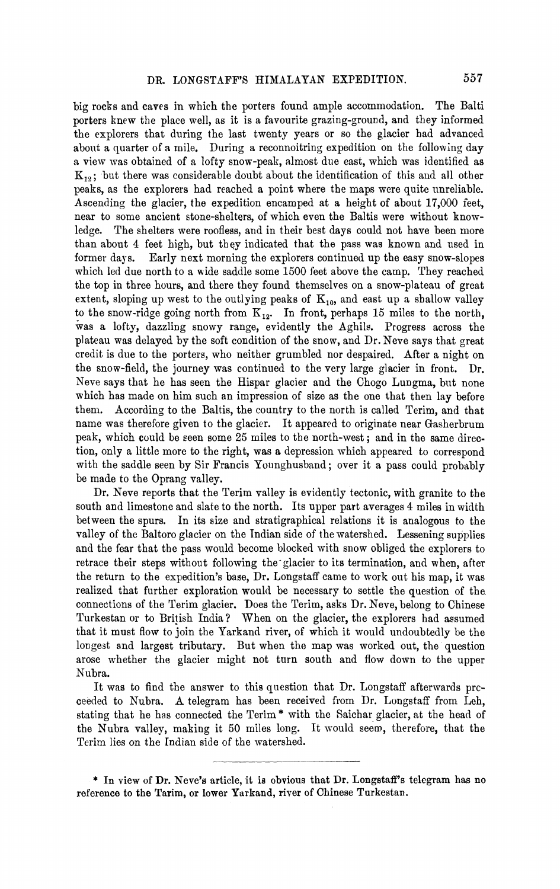big rocks and caves in which the porters found ample accommodation. The Balti porters knew the place well, as it is a favourite grazing-ground, and they informed the explorers that during the last twenty years or so the glacier had advanced about a quarter of a mile. During a reconnoitring expedition on the following day a view was obtained of a lofty snow-peak, almost due east, which was identified as  $K_{12}$ ; but there was considerable doubt about the identification of this and all other peaks, as the explorers had reached a point where the maps were quite unreliable. Ascending the glacier, the expedition encamped at a height of about 17,000 feet, near to some ancient stone-shelters. of which even the Baltis were without knowledge. The shelters were roofless, and in their best days could not have been more than about 4 feet high, but they indicated that the pass was known and used in former days. Early next morning the explorers continued up the easy snow-slopes which led due north to a wide saddle some 1500 feet above the camp. They reached the top in three hours, and there they found themselves on a snow-plateau of great extent, sloping up west to the outlying peaks of  $K_{10}$ , and east up a shallow valley to the snow-ridge going north from  $K_{12}$ . In front, perhaps 15 miles to the north, was a lofty, dazzling snowy range, evidently the Aghils. Progress across the plateau was delayed by the soft condition of the snow, and Dr. Neve says that great credit is due to the porters, who neither grumbled nor despaired. After a night on the snow-field, the journey was continued to the very large glacier in front. Dr. Neve says that he has seen the Elispar glacier and the Chogo Lungma, but none which has made on him such an impression of size as the one that then lay before them. According to the Baltis, the country to the north is called Terim, and that name was therefore given to the glacier. It appeared to originate near Gasherbrum peak, which could be seen some 25 miles to the north-west ; and in the same direction, only a little more to the right, was a depression which appeared to correspond with the saddle seen by Sir Francis Younghusband; over it a pass could probably be made to the Oprang valley.

Dr. Neve reports that the Terim valley is evidently tectonic, with granite to the south and limestone and slate to the north. Its upper part averages 4 miles in width between the spurs. In its size and stratigraphical relations it is analogous to the valley of the Baltoro glacier on the Tndian side of the watershed. Lessening supplies and the fear that the pass would become blocked with snow obliged the explorers to retrace their steps without following the glacier to its termination, and when, after the return to the expedition's base, Dr. Longstaff came to work out his map, it was realized that further exploration would be necessary to settle the question of the connections of the Terim glacier. Does the Terim, asks Dr. Neve, belong to Chinese Turkestan or to British India? When on the glacier, the explorers had assumed that it must flow to join the Yarkand river, of which it would undoubtedly he the longest and largest tributary. But when the map was worked out, the question arose whether the glacier might not turn south and flow down to the upper Nubra.

It was to find the answer to this question that Dr. Longstaff afterwards prcceeded to Nubra. A telegram has been received from Dr. Longstaff from Leh, stating that he has connected the Terim\* with the Saichar glacier, at the head of the Nubra valley, making it 50 miles long. It would seem, therefore, that the Terim lies on the Indian side of the watershed.

<sup>\*</sup> In view of Dr. Neve's article, it is obvions that Dr. Longstaff's telegram has no reference to the Tarim, or lower Yarkand, river of Chinese Turkestan.